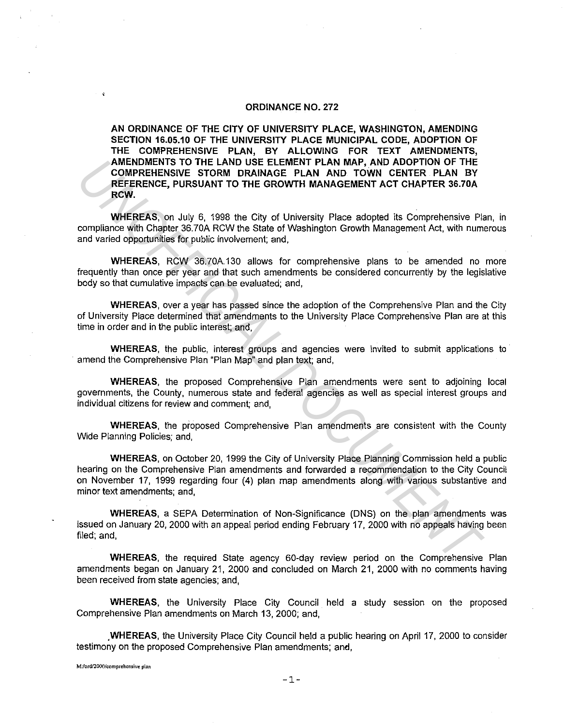#### **ORDINANCE NO. 272**

**AN ORDINANCE OF THE CITY OF UNIVERSITY PLACE, WASHINGTON, AMENDING SECTION 16.05.10 OF THE UNIVERSITY PLACE MUNICIPAL CODE, ADOPTION OF THE COMPREHENSIVE PLAN, BY ALLOWING FOR TEXT AMENDMENTS, AMENDMENTS TO THE LAND USE ELEMENT PLAN MAP, AND ADOPTION OF THE COMPREHENSIVE STORM DRAINAGE PLAN AND TOWN CENTER PLAN BY REFERENCE, PURSUANT TO THE GROWTH MANAGEMENT ACT CHAPTER 36.70A RCW.** 

**WHEREAS,** on July 6, 1998 the City of University Place adopted its Comprehensive Plan, in compliance with Chapter 36.70A RCW the State of Washington Growth Management Act, with numerous and varied opportunities for public involvement; and,

**WHEREAS,** RCW 36.70A.130 allows for comprehensive plans to be amended no more frequently than once per year and that such amendments be considered concurrently by the legislative body so that cumulative impacts can be evaluated; and,

**WHEREAS,** over a year has passed since the adoption of the Comprehensive Plan and the City of University Place determined that amendments to the University Place Comprehensive Plan are at this time in order and in the public interest; and,

**WHEREAS,** the public, interest groups and agencies were invited to submit applications to amend the Comprehensive Plan "Plan Map" and plan text; and,

**WHEREAS,** the proposed Comprehensive Plan amendments were sent to adjoining local governments, the County, numerous state and federal agencies as well as special interest groups and individual citizens for review and comment; and,

**WHEREAS,** the proposed Comprehensive Plan amendments are consistent with the County Wide Planning Policies; and,

**WHEREAS,** on October 20, 1999 the City of University Place Planning Commission held a public hearing on the Comprehensive Plan amendments and forwarded a recommendation to the City Council on November 17, 1999 regarding four (4) plan rnap amendments along with various substantive and minor text amendments; and, **AMERIAMENTS TO THE LAND USE ELEMENT PLAN MAP, AND ADOPTION OF THE CHANDERSITY COMPREHENSIVE STORM DRAINAGE PLAN AND TOWN CENTER PLAN BY<br>
REFERENCE, PURSUANT TO THE GROWTH MANAGEMENT ACT CHAPTER 36.70A<br>
WHEREAS, on July 6,** 

**WHEREAS,** a SEPA Determination of Non-Significance (DNS) on the plan amendments was issued on January 20, 2000 with an appeal period ending February 17, 2000 with no appeals having been filed; and,

**WHEREAS,** the required State agency 60-day review period on the Comprehensive Plan amendments began on January 21, 2000 and concluded on March 21, 2000 with no comments having been received from state agencies; and,

**WHEREAS,** the University Place City Council held a study session on the proposed Comprehensive Plan amendments on March 13, 2000; and,

**,WHEREAS,** the University Place City Council held a public hearing on April 17, 2000 to consider testimony on the proposed Comprehensive Plan amendments; and,

**M:/ord/2000/comprehensive plan**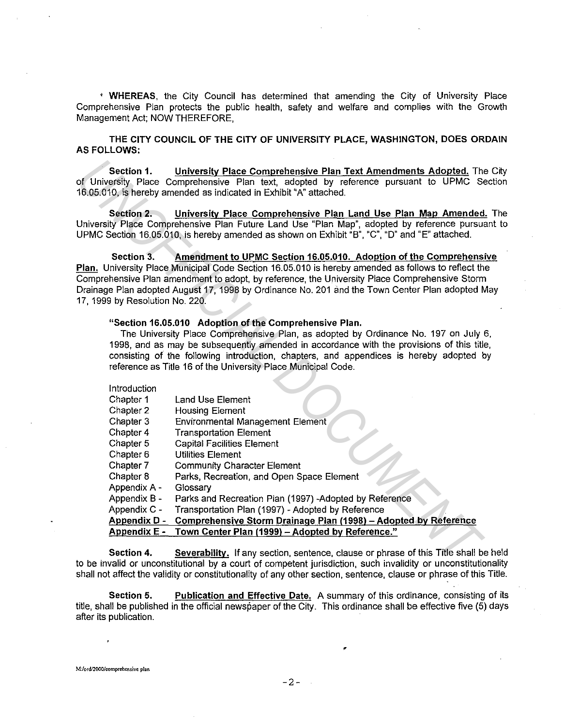• **WHEREAS,** the City Council has determined that amending the City of University Place Comprehensive Plan protects the public health, safety and welfare and complies with the Growth Management Act; NOW THEREFORE,

**THE CITY COUNCIL OF THE CITY OF UNIVERSITY PLACE, WASHINGTON, DOES ORDAIN AS FOLLOWS:** 

#### **"Section 16.05.010 Adoption of the Comprehensive Plan.**

#### Introduction

| Section 1.                      | University Place Comprehensive Plan Text Amendments Adopted. The C<br>of University Place Comprehensive Plan text, adopted by reference pursuant to UPMC Sect<br>16.05.010, is hereby amended as indicated in Exhibit "A" attached.                                                                                                                                                                    |
|---------------------------------|--------------------------------------------------------------------------------------------------------------------------------------------------------------------------------------------------------------------------------------------------------------------------------------------------------------------------------------------------------------------------------------------------------|
| Section 2.                      | University Place Comprehensive Plan Land Use Plan Map Amended.<br>University Place Comprehensive Plan Future Land Use "Plan Map", adopted by reference pursuan<br>UPMC Section 16.05.010, is hereby amended as shown on Exhibit "B", "C", "D" and "E" attached.                                                                                                                                        |
| Section 3.                      | Amendment to UPMC Section 16.05.010. Adoption of the Comprehensive                                                                                                                                                                                                                                                                                                                                     |
| 17, 1999 by Resolution No. 220. | Plan, University Place Municipal Code Section 16.05.010 is hereby amended as follows to reflect the<br>Comprehensive Plan amendment to adopt, by reference, the University Place Comprehensive Storm<br>Drainage Plan adopted August 17, 1998 by Ordinance No. 201 and the Town Center Plan adopted Ma                                                                                                 |
|                                 | "Section 16.05.010 Adoption of the Comprehensive Plan.<br>The University Place Comprehensive Plan, as adopted by Ordinance No. 197 on July 6,<br>1998, and as may be subsequently amended in accordance with the provisions of this title,<br>consisting of the following introduction, chapters, and appendices is hereby adopted by<br>reference as Title 16 of the University Place Municipal Code. |
| Introduction                    |                                                                                                                                                                                                                                                                                                                                                                                                        |
| Chapter 1                       | Land Use Element                                                                                                                                                                                                                                                                                                                                                                                       |
| Chapter 2                       | <b>Housing Element</b>                                                                                                                                                                                                                                                                                                                                                                                 |
| Chapter 3                       | <b>Environmental Management Element</b>                                                                                                                                                                                                                                                                                                                                                                |
| Chapter 4                       | <b>Transportation Element</b>                                                                                                                                                                                                                                                                                                                                                                          |
| Chapter 5                       | <b>Capital Facilities Element</b>                                                                                                                                                                                                                                                                                                                                                                      |
| Chapter 6                       | <b>Utilities Element</b>                                                                                                                                                                                                                                                                                                                                                                               |
| Chapter 7                       | <b>Community Character Element</b>                                                                                                                                                                                                                                                                                                                                                                     |
| Chapter 8                       | Parks, Recreation, and Open Space Element                                                                                                                                                                                                                                                                                                                                                              |
| Appendix A -                    | Glossary                                                                                                                                                                                                                                                                                                                                                                                               |
| Appendix B -                    | Parks and Recreation Plan (1997) -Adopted by Reference                                                                                                                                                                                                                                                                                                                                                 |
| Appendix C -                    | Transportation Plan (1997) - Adopted by Reference                                                                                                                                                                                                                                                                                                                                                      |
| <b>Appendix D -</b>             | Comprehensive Storm Drainage Plan (1998) - Adopted by Reference                                                                                                                                                                                                                                                                                                                                        |
| Appendix E -                    | Town Center Plan (1999) - Adopted by Reference."                                                                                                                                                                                                                                                                                                                                                       |
| Section 4.                      | Severability. If any section, sentence, clause or phrase of this Title shall be h<br>to be invalid or unconstitutional by a court of competent iurisdiction, such invalidity or unconstitutiona                                                                                                                                                                                                        |
|                                 |                                                                                                                                                                                                                                                                                                                                                                                                        |

**Section 4. Severability.** If any section, sentence, clause or phrase of this Title shall be held to be invalid or unconstitutional by a court of competent jurisdiction, such invalidity or unconstitutionality shall not affect the validity or constitutionality of any other section, sentence, clause or phrase of this Title.

**Section 5. Publication and Effective Date.** A summary of this ordinance, consisting of its title, shall be published in the official newspaper of the City. This ordinance shall be effective five (5) days after its publication.

•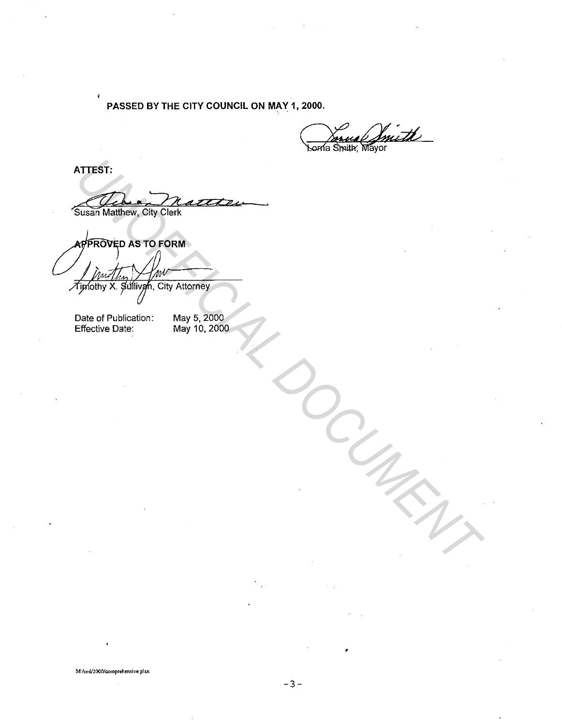**PASSED BY THE CITY COUNCIL ON MAY 1, 2000.** 

2000.<br>Coma Smith, Mayor

**ATTEST:** 

Å

Susan Matthew, City Clerk ATTEST:<br>
Susan Matthew, City Clerk<br>
Approximate as TO FORM<br>
Typolity X Sullingh, City Attorney<br>
Date of Publication: May 5, 2000<br>
Clerk of Publication: May 5, 2000<br>
May 10, 2000

Date of Publication: Effective Date:

May 5, 2000 May 10, 2000

**M:ford/2000/comprehensive plan** 

•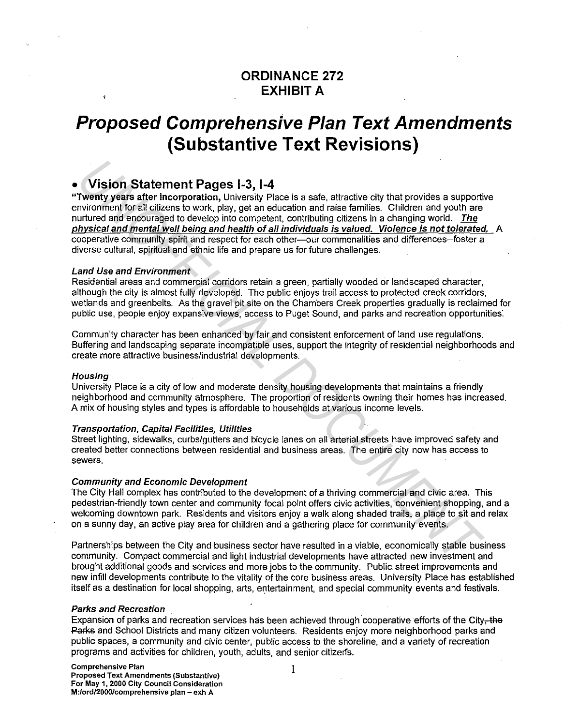#### **ORDINANCE 272 EXHIBIT A**

### **Proposed Comprehensive Plan Text Amendments (Substantive Text Revisions)**

#### • **Vision Statement Pages 1-3, 1-4**

"Twenty years after incorporation, University Place is a safe, attractive city that provides a supportive environment for all citizens to work, play, get an education and raise families. Children and youth are nurtured and encouraged to develop into competent, contributing citizens in a changing world. The physical and mental well being and health of all individuals is valued. Violence is not tolerated. A cooperative community spirit and respect for each other--- our commonalities and differences--foster a diverse cultural, spiritual and ethnic life and prepare us for future challenges. **Vision Statement Pages 1-3, 1-4**<br> **Twenty years after incorporation,** University Place is a safe, attractive city that provides a support<br>
invivorment for all clizens to work, play, get an education and rate families. Chi

#### Land Use and Environment

Residential areas and commercial corridors retain a green, partially wooded or landscaped character, although the city is almost fully developed. The public enjoys trail access to protected creek corridors, wetlands and greenbelts. As the gravel pit site on the Chambers Creek properties gradually is reclaimed for public use, people enjoy expansive views, access to Puget Sound, and parks and recreation opportunities:

Community character has been enhanced by fair and consistent enforcement of land use regulations. Buffering and landscaping separate incompatible uses, support the integrity of residential neighborhoods and create more attractive business/industrial developments.

#### **Housing**

University Place is a city of low and moderate density housing developments that maintains a friendly neighborhood and community atmosphere. The proportion of residents owning their homes has increased. A mix of housing styles and types is affordable to households at various income levels.

#### Transportation, Capital Facilities, Utilities

Street lighting, sidewalks, curbs/gutters and bicycle lanes on all arterial streets have improved safety and created better connections between residential and business areas. The entire city now has access to sewers.

#### Community and Economic Development

The City Hall complex has contributed to the development of a thriving commercial and civic area. This pedestrian-friendly town center and community focal point offers civic activities, convenient shopping, and a welcoming downtown park. Residents and visitors enjoy a walk along shaded trails, a place to sit and relax on a sunny day, an active play area for children and a gathering place for community events.

Partnerships between the City and business sector have resulted in a viable, economically stable business community. Compact commercial and light industrial developments have attracted new investment and brought additional goods and services and more jobs to the community. Public street improvements and new infill developments contribute to the vitality of the core business areas. University Place has established itself as a destination for local shopping, arts, entertainment, and special community events and festivals.

#### Parks and Recreation

Expansion of parks and recreation services has been achieved through cooperative efforts of the City-the Pafks and School Districts and many citizen volunteers. Residents enjoy more neighborhood parks and public spaces, a community and civic center, public access to the shoreline, and a variety of recreation programs and activities for children, youth, adults, and senior citizerfs.

I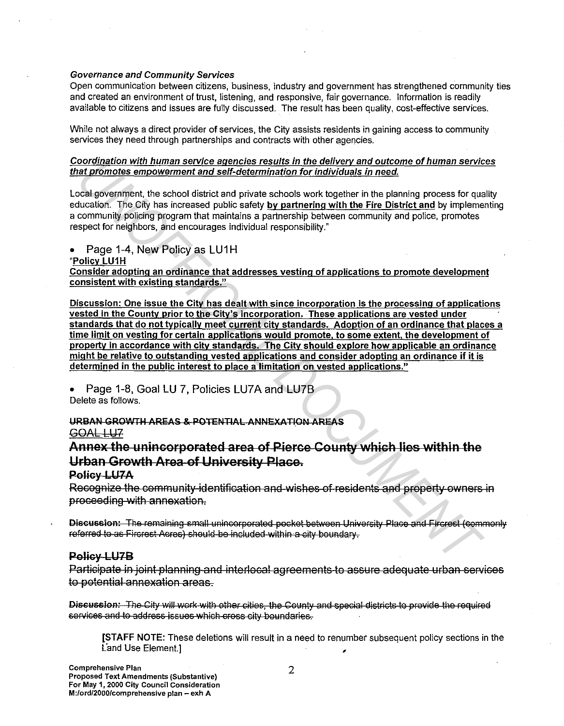#### Governance and Community Services

Open communication between citizens, business, industry and government has strengthened community ties and created an environment of trust, listening, and responsive, fair governance. Information is readily available to citizens and issues are fully discussed. The result has been quality, cost-effective services.

While not always a direct provider of services, the City assists residents in gaining access to community services they need through partnerships and contracts with other agencies.

Coordination with human service agencies results in the delivery and outcome of human services that promotes empowerment and self-determination for individuals in need.

Local government, the school district and private schools work together in the planning process for quality education. The City has increased public safety by partnering with the Fire District and by implementing a community policing program that maintains a partnership between community and police, promotes respect for neighbors, and encourages individual responsibility."

Page 1-4, New Policy as LU1H

#### "Policy LU1H

Consider adopting an ordinance that addresses vesting of applications to promote development consistent with existing standards."

Discussion: One issue the City has dealt with since incorporation is the processing of applications vested in the County prior to the City's incorporation. These applications are vested under standards that do not typically meet current city standards. Adoption of an ordinance that places a time limit on vesting for certain applications would promote, to some extent, the development of property in accordance with city standards. The City should explore how applicable an ordinance might be relative to outstanding vested applications and consider adopting an ordinance if it is determined in the public interest to place a limitation on vested applications." conting the human service argenters results in the delivery and outcome of human service and the content of the content of the content of the content of the content of the content of the content of the content of the conte

• Page 1-8, Goal LU 7, Policies LU7A and LU78 Delete as follows.

URBAN GROWTH AREAS & POTENTIAL ANNEXATION AREAS

GOAL LU<sub>7</sub>

Annex the unincorporated area of Pierce County which lies within the Urban Growth Area of University Place.

#### Policy LU7A

Recognize the commlmity identification and wishes of residents and property owners in proceeding with annexation.

Discussion: The remaining small unincorporated pocket between University Place and Fircrest (commonly referred to as Fircrest Acres) should be included within a city boundary.

#### Policy LU7B

Participate in joint planning and interlocal agreements to assure adequate urban services to potential annexation areas.

Discussion: The City will work with other cities, the County and special districts to provide the required services and to address issues which cross city boundaries.

[STAFF NOTE: These deletions will result in a need to renumber subsequent policy sections in the Land Use Element.]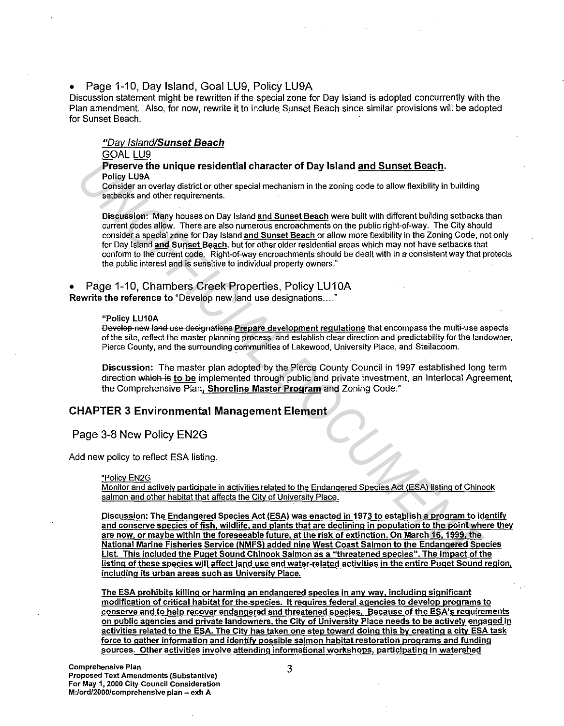#### • Page 1-10, Day Island, Goal LU9, Policy LU9A

Discussion statement might be rewritten if the special zone for Day Island is adopted concurrently with the Plan amendment. Also, for now, rewrite it to include Sunset Beach since similar provisions will be adopted for Sunset Beach.

#### "Day Island/Sunset Beach

#### GOAL LU9

#### Preserve the unique residential character of Day Island and Sunset Beach. Policy LUSA

Consider an overlay district or other special mechanism in the zoning code to allow fiexibility in building setbacks and other requirements.

Discussion: Many houses on Day Island and Sunset Beach were built with different building setbacks than current codes allow. There are also numerous encroachments on the public right-of-way. The City should consider a special zone for Day Island and Sunset Beach or allow more fiexibility in the Zoning Code, not only for Day Island and Sunset Beach, but for other older residential areas which may not have setbacks that conform to the current code. Right-of-way encroachments should be dealt with in a consistent way that protects the public interest and is sensitive to individual property owners." **Preserve the unique residential character of Day Island <u>and Sunset Boach.</u><br>
Policy LUBA<br>
Consider an overlay district or chier special mechanism in the zoning code to allow flexibility in suilding<br>
selbacks an overlay di** 

#### • Page 1-10, Chambers Creek Properties, Policy LU10A

Rewrite the reference to "Develop new land use designations...."

#### "Policy LU10A

Develop new land use designations Prepare development regulations that encompass the multi-use aspects of the site, refiect the master planning process, and establish clear direction and predictability for the landowner, Pierce County, and the surrounding communities of Lakewood, University Place, and Steilacoom.

Discussion: The master plan adopted by the Pierce County Council in 1997 established long term direction which is to be implemented through public and private investment, an Interlocal Agreement, the Comprehensive Plan, Shoreline Master Program and Zoning Code."

#### CHAPTER 3 Environmental Management Element

#### Page 3-8 New Policy EN2G

Add new policy to reflect ESA listing.

#### "Policy EN2G

Monitor and actively participate in activities related to the Endangered Species Act (ESA) listing of Chinook salmon and other habitat that affects the City of University Place.

Discussion: The Endangered Species Act (ESA) was enacted in 1973 to establish a program to identify and conserve species of fish, wildlife, and plants that are declining in population to the point where they are now, or maybe within the foreseeable future, at the risk of extinction. On March 16, 1999, the National Marine Fisheries Service (NMFS) added nine West Coast Salmon to the Endangered Species List. This included the Puget Sound Chinook Salmon as a "threatened species". The impact of the listing of these species will affect land use and water-related activities in the entire Puget Sound region, including its urban areas such as University Place.

The ESA prohibits killing or harming an endangered species in any way, including significant modification of critical habitat for the.species. It requires federal agencies to develop programs to conserve and to help recover endangered and threatened species. Because of the ESA's requirements on public agencies and private landowners, the City of University Place needs to be actively engaged in activities related to the ESA. The City has taken one step toward doing this by creating a city ESA task force to gather information and identify possible salmon habitat restoration programs and funding sources. Other activities involve attending informational workshops, participating in watershed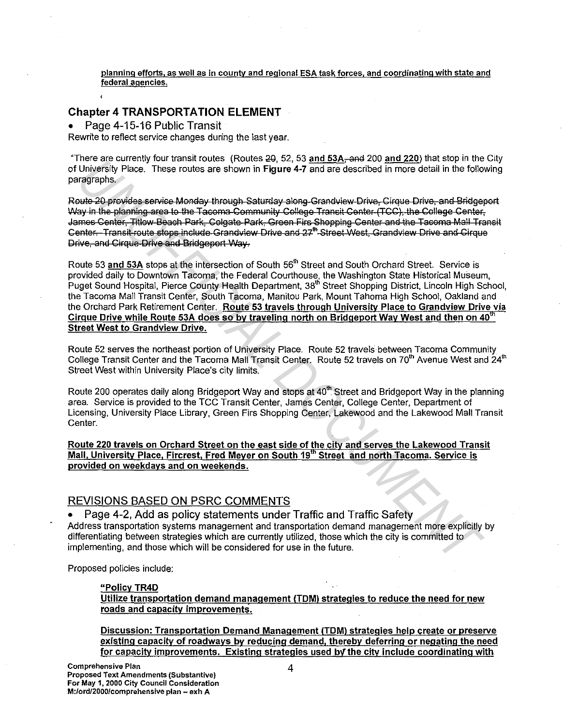planning efforts, as well as in county and regional ESA task forces, and coordinating with state and federal agencies.

#### **Chapter 4 TRANSPORTATION ELEMENT**

Page 4-15-16 Public Transit

Rewrite to reflect service changes during the last year.

"There are currently four transit routes (Routes 20, 52, 53 and 53A-and 200 and 220) that stop in the City of University Place. These routes are shown in Figure 4-7 and are described in more detail in the following paragraphs.

Route 20 provides service Monday through Saturday along-Grandview Drive, Cirque Drive, and Bridgeport Way in the planning area to the Tacoma Community College Transit Center (TCC), the College Center, James Center, Titlow Beach Park, Colgate Park, Green Firs Shopping Center and the Tacoma Mall Transit Center. Transit route stops include Grandview Drive and 27<sup>th</sup> Street West. Grandview Drive and Cirque Drive, and Cirque Drive and Bridgeport Way.

Route 53 and 53A stops at the intersection of South 56<sup>th</sup> Street and South Orchard Street. Service is provided daily to Downtown Tacoma, the Federal Courthouse, the Washington State Historical Museum, Puget Sound Hospital, Pierce County Health Department, 38th Street Shopping District, Lincoln High School, the Tacoma Mall Transit Center, South Tacoma, Manitou Park, Mount Tahoma High School, Oakland and the Orchard Park Retirement Center. Route 53 travels through University Place to Grandview Drive via Cirque Drive while Route 53A does so by traveling north on Bridgeport Way West and then on 40<sup>th</sup> **Street West to Grandview Drive.** 

Route 52 serves the northeast portion of University Place. Route 52 travels between Tacoma Community College Transit Center and the Tacoma Mall Transit Center. Route 52 travels on 70<sup>th</sup> Avenue West and 24<sup>th</sup> Street West within University Place's city limits.

Route 200 operates daily along Bridgeport Way and stops at 40<sup>th</sup> Street and Bridgeport Way in the planning area. Service is provided to the TCC Transit Center, James Center, College Center, Department of Licensing, University Place Library, Green Firs Shopping Center, Lakewood and the Lakewood Mall Transit Center.

Route 220 travels on Orchard Street on the east side of the city and serves the Lakewood Transit Mall, University Place, Fircrest, Fred Meyer on South 19th Street and north Tacoma. Service is provided on weekdays and on weekends.

#### **REVISIONS BASED ON PSRC COMMENTS**

Page 4-2, Add as policy statements under Traffic and Traffic Safety Address transportation systems management and transportation demand management more explicitly by differentiating between strategies which are currently utilized, those which the city is committed to implementing, and those which will be considered for use in the future.

Proposed policies include:

#### "Policy TR4D

Utilize transportation demand management (TDM) strategies to reduce the need for new roads and capacity improvements.

Discussion: Transportation Demand Management (TDM) strategies help create or preserve existing capacity of roadways by reducing demand, thereby deferring or negating the need for capacity improvements. Existing strategies used by the city include coordinating with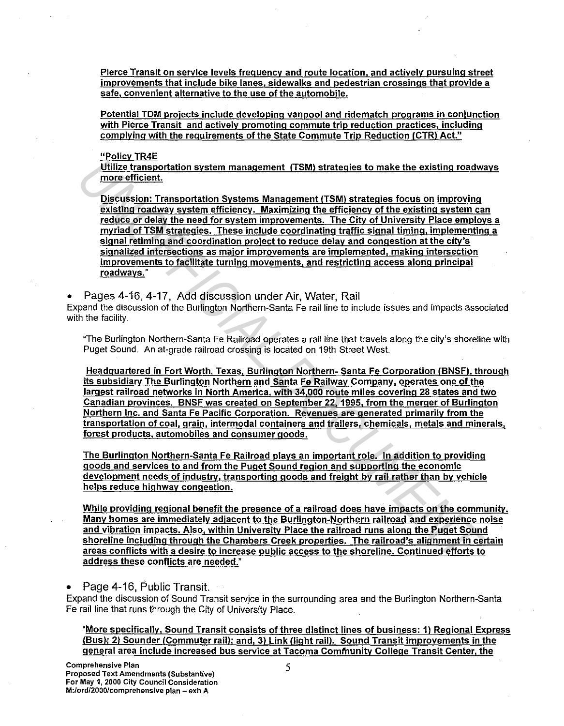Pierce Transit on service levels frequency and route location, and actively pursuing street improvements that include bike lanes, sidewalks and pedestrian crossings that provide a safe, convenient alternative to the use of the automobile.

Potential TDM projects include developing vanpool and ridematch programs in conjunction with Pierce Transit and actively promoting commute trip reduction practices, including complying with the requirements of the State Commute Trip Reduction (CTR) Act."

"Policy TR4E

Utilize transportation system management (TSM) strategies to make the existing roadways more efficient.

Discussion: Transportation Systems Management (TSM) strategies focus on improving existing roadway system efficiency. Maximizing the efficiency of the existing system can reduce or delay the need for system improvements. The Citv of University Place employs a myriad of TSM strategies. These include coordinating traffic signal timing, implementing a signal retiming and coordination project to reduce delay and congestion at the city's signalized intersections as major improvements are implemented, making intersection improvements to facilitate turning movements, and restricting access along principal roadways." **Unites transportation system management (TSM) strategies to make the existing roadwy<br>more efficient. Transportation Systems Management (TSM) strategies focus on improving<br>oxiding makeuve ysstem efficiency. Maximizing the** 

• Pages 4-16, 4-17, Add discussion under Air, Water, Rail

Expand the discussion of the Burlington Northern-Santa Fe rail line to include issues and impacts associated with the facility.

"The Burlington Northern-Santa Fe Railroad operates a rail line that travels along the city's shoreline with Puget Sound. An at-grade railroad crossing is located on 19th Street West.

Headquartered in Fort Worth, Texas, Burlington Northern- Santa Fe Corporation (BNSF), through its subsidiary The Burlington Northern and Santa Fe Railway Company, operates one of the largest railroad networks in North America, with 34,000 route miles covering 28 states and two Canadian provinces. BNSF was created on September 22, 1995, from the merger of Burlington Northern Inc. and Santa Fe Pacific Corporation. Revenues are generated primarily from the transportation of coal, grain, intermodal containers and trailers, chemicals, metals and minerals, forest products, automobiles and consumer goods.

The Burlington Northern-Santa Fe Railroad plays an important role. In addition to providing goods and services to and from the Puget Sound region and supporting the economic development needs of industry, transporting goods and freight by rail rather than by vehicle helps reduce highway congestion.

While providing regional benefit the presence of a railroad does have impacts on the community. Many homes are immediately adjacent to the Burlington-Northern railroad and experience noise and vibration impacts. Also, within University Place the railroad runs along the Puget Sound shoreline including through the Chambers Creek properties. The railroad's alignment in certain areas conflicts with a desire to increase public access to the shoreline. Continued efforts to address these conflicts are needed."

• Page 4-16, Public Transit.

Expand the discussion of Sound Transit servjce in the surrounding area and the Burlington Northern-Santa Fe rail line that runs through the City of University Place.

"More specifically, Sound Transit consists of three distinct lines of business: 1) Regional Express (Bus); 2) Sounder (Commuter rail); and, 3) Link /light rail). Sound Transit improvements in the general area include increased bus service at Tacoma Community College Transit Center, the

5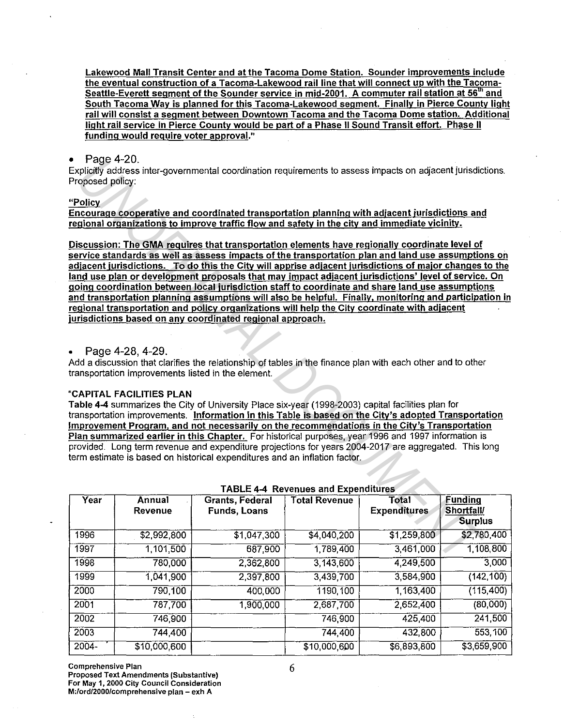Lakewood Mall Transit Center and at the Tacoma Dome Station. Sounder improvements include the eventual construction of a Tacoma-Lakewood rail line that will connect up with the Tacoma-Seattle-Everett segment of the Sounder service in mid-2001. A commuter rail station at 56<sup>th</sup> and South Tacoma Way is planned for this Tacoma-Lakewood segment. Finally in Pierce County light rail will consist a segment between Downtown Tacoma and the Tacoma Dome station. Additional light rail service in Pierce County would be part of a Phase II Sound Transit effort. Phase II funding would require voter approval."

#### Page 4-20.

Explicitly address inter-governmental coordination requirements to assess impacts on adjacent jurisdictions. Proposed policy:

#### **"Policy**

Encourage cooperative and coordinated transportation planning with adjacent jurisdictions and regional organizations to improve traffic flow and safety in the city and immediate vicinity.

Discussion: The GMA requires that transportation elements have regionally coordinate level of service standards as well as assess impacts of the transportation plan and lahd use assumptions on adjacent jurisdictions. To do this the City will apprise adjacent jurisdictions of major changes to the land use plan or development proposals that may impact adjacent jurisdictions' level of service. On going coordination between local jurisdiction staff to coordinate and share land use assumptions and transportation planning assumptions will also be helpful. Finally, monitoring and participation in regional transportation and policy organizations will help the City coordinate with adjacent jurisdictions based on any coordinated regional approach. *Proge 4-28,*<br> *Unity address inter-governmental coordination requirements to assess impacts on adjacent jurisdictions and<br>
<u>Volting</u> and coordinated transportation planning with adjacent jurisdictions and<br>
<u>unional organ*</u>

• Page 4-28, 4-29.

Add a discussion that clarifies the relationship of tables in the finance plan with each other and to other transportation improvements listed in the element.

#### "CAPITAL FACILITIES PLAN

Table 4-4 summarizes the City of University Place six-year (1998-2003) capital facilities plan for transportation improvements. Information in this Table is based on the City's adopted Transportation Improvement Program, and not necessarily on the recommendations in the City's Transportation Plan summarized earlier in this Chapter. For historical purposes, year 1996 and 1997 information is provided. Long term revenue and expenditure projections for years 2004-2017 are aggregated. This long term estimate is based on historical expenditures and an inflation factor.

|          |                          |                                        | 1                    |                              |                                                      |
|----------|--------------------------|----------------------------------------|----------------------|------------------------------|------------------------------------------------------|
| Year     | Annual<br><b>Revenue</b> | <b>Grants, Federal</b><br>Funds, Loans | <b>Total Revenue</b> | Total<br><b>Expenditures</b> | <b>Funding</b><br><b>Shortfall</b><br><b>Surplus</b> |
| 1996     | \$2,992,800              | $\sqrt{31,047,300}$                    | \$4,040,200          | \$1,259,800                  | \$2,780,400                                          |
| 1997     | 1,101,500                | 687,900                                | 1,789,400            | 3,461,000                    | 1,108,800                                            |
| 1998     | 780,000                  | 2,362,800                              | 3,143,600            | 4,249,500                    | 3,000                                                |
| 1999     | 1,041,900                | 2,397,800                              | 3,439,700            | 3,584,900                    | (142, 100)                                           |
| 2000     | 790,100                  | 400,000                                | 1190,100             | 1,163,400                    | (115, 400)                                           |
| 2001     | 787,700                  | 1,900,000                              | 2,687,700            | 2,652,400                    | (80,000)                                             |
| 2002     | 746,900                  |                                        | 746,900              | 425,400                      | 241,500                                              |
| 2003     | 744,400                  |                                        | 744,400              | 432,800                      | 553,100                                              |
| $2004 -$ | \$10,000,600             |                                        | \$10,000,600         | \$6,893,800                  | \$3,659,900                                          |

#### TABLE 4-4 Revenues and Expenditures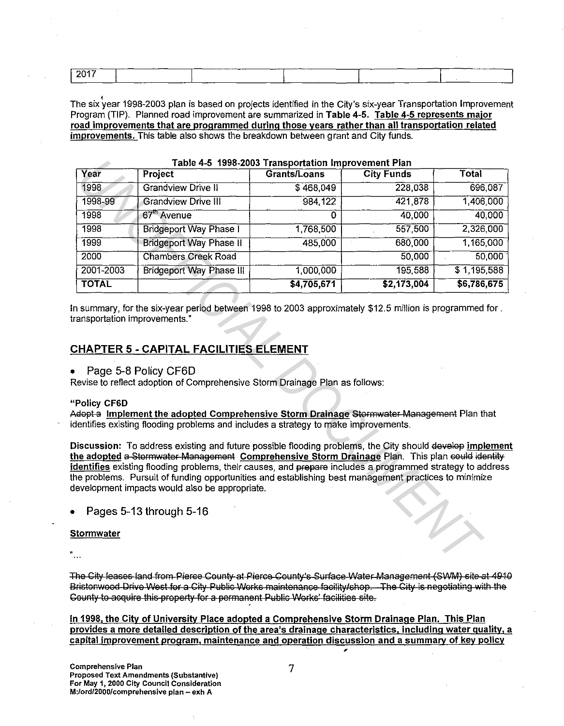| $-2017$ | --      | ____<br>-- |        |
|---------|---------|------------|--------|
|         | _______ |            | ______ |

The six year 1998-2003 plan is based on projects identified in the City's six-year Transportation Improvement Program (TIP). Planned road improvement are summarized in Table 4-5. Table 4-5 represents major road improvements that are programmed during those years rather than all transportation related improvements. This table also shows the breakdown between grant and City funds.

| Year<br><b>City Funds</b><br>Project<br><b>Grandview Drive II</b><br>228,038<br>1998<br>\$468,049<br>421,878<br><b>Grandview Drive III</b><br>1998-99<br>984 122<br>$67th$ Avenue<br>40,000<br>1998<br>0<br>557,500<br>1998<br>1,768,500<br><b>Bridgeport Way Phase I</b><br>485,000<br>680,000<br>1999<br><b>Bridgeport Way Phase II</b><br>50,000<br><b>Chambers Creek Road</b><br>195,588<br>1,000,000<br><b>Bridgeport Way Phase III</b><br>\$4,705,671<br>\$2,173,004<br>n summary, for the six-year period between 1998 to 2003 approximately \$12.5 million is programmed for.<br>ransportation improvements."<br><u> CHAPTER 5 - CAPITAL FACILITIES ELEMENT</u><br>Page 5-8 Policy CF6D<br>Revise to reflect adoption of Comprehensive Storm Drainage Plan as follows:<br><del>dopt a</del> Implemen <u>t the adopted Comprehensive Storm Drainage</u> Stormwater Management Plan that<br>dentifies existing flooding problems and includes a strategy to make improvements.<br>Discussion: To address existing and future possible flooding problems, the City should develop implemen<br>he adopted a Stormwater Management Comprehensive Storm Drainage Plan. This plan could identity<br>dentifies existing flooding problems, their causes, and prepare includes a programmed strategy to address<br>ne problems. Pursuit of funding opportunities and establishing best management practices to minimize<br>evelopment impacts would also be appropriate.<br>Pages 5-13 through 5-16<br>itormwater |              |              | Table 4-5 1998-2003 Transportation Improvement Plan |              |
|------------------------------------------------------------------------------------------------------------------------------------------------------------------------------------------------------------------------------------------------------------------------------------------------------------------------------------------------------------------------------------------------------------------------------------------------------------------------------------------------------------------------------------------------------------------------------------------------------------------------------------------------------------------------------------------------------------------------------------------------------------------------------------------------------------------------------------------------------------------------------------------------------------------------------------------------------------------------------------------------------------------------------------------------------------------------------------------------------------------------------------------------------------------------------------------------------------------------------------------------------------------------------------------------------------------------------------------------------------------------------------------------------------------------------------------------------------------------------------------------------------------|--------------|--------------|-----------------------------------------------------|--------------|
|                                                                                                                                                                                                                                                                                                                                                                                                                                                                                                                                                                                                                                                                                                                                                                                                                                                                                                                                                                                                                                                                                                                                                                                                                                                                                                                                                                                                                                                                                                                  |              | Grants/Loans |                                                     | <b>Total</b> |
|                                                                                                                                                                                                                                                                                                                                                                                                                                                                                                                                                                                                                                                                                                                                                                                                                                                                                                                                                                                                                                                                                                                                                                                                                                                                                                                                                                                                                                                                                                                  |              |              |                                                     | 696,087      |
|                                                                                                                                                                                                                                                                                                                                                                                                                                                                                                                                                                                                                                                                                                                                                                                                                                                                                                                                                                                                                                                                                                                                                                                                                                                                                                                                                                                                                                                                                                                  |              |              |                                                     | 1,406,000    |
|                                                                                                                                                                                                                                                                                                                                                                                                                                                                                                                                                                                                                                                                                                                                                                                                                                                                                                                                                                                                                                                                                                                                                                                                                                                                                                                                                                                                                                                                                                                  |              |              |                                                     | 40,000       |
|                                                                                                                                                                                                                                                                                                                                                                                                                                                                                                                                                                                                                                                                                                                                                                                                                                                                                                                                                                                                                                                                                                                                                                                                                                                                                                                                                                                                                                                                                                                  |              |              |                                                     | 2,326,000    |
|                                                                                                                                                                                                                                                                                                                                                                                                                                                                                                                                                                                                                                                                                                                                                                                                                                                                                                                                                                                                                                                                                                                                                                                                                                                                                                                                                                                                                                                                                                                  |              |              |                                                     | 1,165,000    |
|                                                                                                                                                                                                                                                                                                                                                                                                                                                                                                                                                                                                                                                                                                                                                                                                                                                                                                                                                                                                                                                                                                                                                                                                                                                                                                                                                                                                                                                                                                                  | 2000         |              |                                                     | 50,000       |
|                                                                                                                                                                                                                                                                                                                                                                                                                                                                                                                                                                                                                                                                                                                                                                                                                                                                                                                                                                                                                                                                                                                                                                                                                                                                                                                                                                                                                                                                                                                  | 2001-2003    |              |                                                     | \$1,195,588  |
|                                                                                                                                                                                                                                                                                                                                                                                                                                                                                                                                                                                                                                                                                                                                                                                                                                                                                                                                                                                                                                                                                                                                                                                                                                                                                                                                                                                                                                                                                                                  | <b>TOTAL</b> |              |                                                     | \$6,786,675  |
|                                                                                                                                                                                                                                                                                                                                                                                                                                                                                                                                                                                                                                                                                                                                                                                                                                                                                                                                                                                                                                                                                                                                                                                                                                                                                                                                                                                                                                                                                                                  |              |              |                                                     |              |
|                                                                                                                                                                                                                                                                                                                                                                                                                                                                                                                                                                                                                                                                                                                                                                                                                                                                                                                                                                                                                                                                                                                                                                                                                                                                                                                                                                                                                                                                                                                  | Policy CF6D  |              |                                                     |              |

Table 4-5 1998-2003 Transportation Improvement Plan

#### **CHAPTER 5 - CAPITAL FACILITIES ELEMENT**

#### Page 5-8 Policy CF6D

#### "Policy CF6D

#### Stormwater

The City leases land from Pierce County at Pierce County's Surface Water Management (SWM) site at 4910 Bristonwood Drive West for a City Public Works maintenance facility/shop.—The City is negotiating with the County to acquire this property for a permanent Public Works' facilities site.

In 1998, the City of University Place adopted a Comprehensive Storm Drainage Plan. This Plan provides a more detailed description of the area's drainage characteristics, including water quality, a capital improvement program, maintenance and operation discussion and a summarv of key policy ,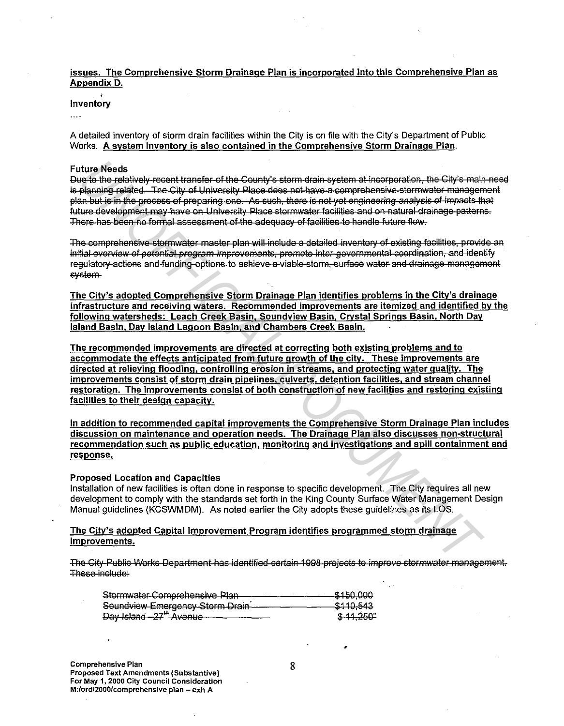issues. The Comprehensive Storm Drainage Plan is incorporated into this Comprehensive Plan as Appendix D.

#### inventory

 $\cdots$ 

A detailed inventory of storm drain facilities within the City is on file with the City's Department of Public Works. A system inventory is also contained in the Comprehensive Storm Drainage Plan.

#### **Future Needs**

Due to the relatively recent transfer of the County's storm drain system at incorporation, the City's main need is planning related. The City of University Place does not have a comprehensive stormwater management plan but is in the process of preparing one. As such, there is not yet engineering analysis of impacts that future development may have on University Place stormwater facilities and on natural drainage patterns. There has been no formal assessment of the adequacy of facilities to handle future flew.

The comprehensive stormwater master plan will include a detailed inventory of existing facilities, provide an initial overview of potential program improvements, promote inter-gevernmental coordination, and identify regulatory actions and funding options to achieve a viable storm, surface water and drainage management system.

The City's adopted Comprehensive Storm Drainage Plan identifies problems in the City's drainage infrastructure and receiving waters. Recommended improvements are itemized and identified by the following watersheds: Leach Creek Basin, Soundview Basin, Crystal Springs Basin, North Day Island Basin, Day Island Lagoon Basin, and Chambers Creek Basin.

The recommended improvements are directed at correcting both existing problems and to accommodate the effects anticipated from future growth of the city. These improvements are directed at relieving flooding, controlling erosion in streams, and protecting water quality. The improvements consist of storm drain pipelines, culverts, detention facilities, and stream channel restoration. The improvements consist of both construction of new facilities and restoring existing facilities to their design capacity.

In addition to recommended capital improvements the Comprehensive Storm Drainage Plan includes discussion on maintenance and operation needs. The Drainage Plan also discusses non-structural recommendation such as public education, monitoring and investigations and spill containment and response.

#### **Proposed Location and Capacities**

Installation of new facilities is often done in response to specific development. The City requires all new development to comply with the standards set forth in the King County Surface Water Management Design Manual guidelines (KCSWMDM). As noted earlier the City adopts these guidelines as its LOS.

The City's adopted Capital Improvement Program identifies programmed storm drainage improvements.

The City-Public Works Department-has identified certain 1998 projects to improve stormwater management. These include:

| Stormwater-Comprehensive-Plan-      | -\$150,000 |
|-------------------------------------|------------|
| Soundview Emergency-Storm Drain     | \$110,543  |
| Day Island -27 <sup>th</sup> Avenue | \$ 11,250" |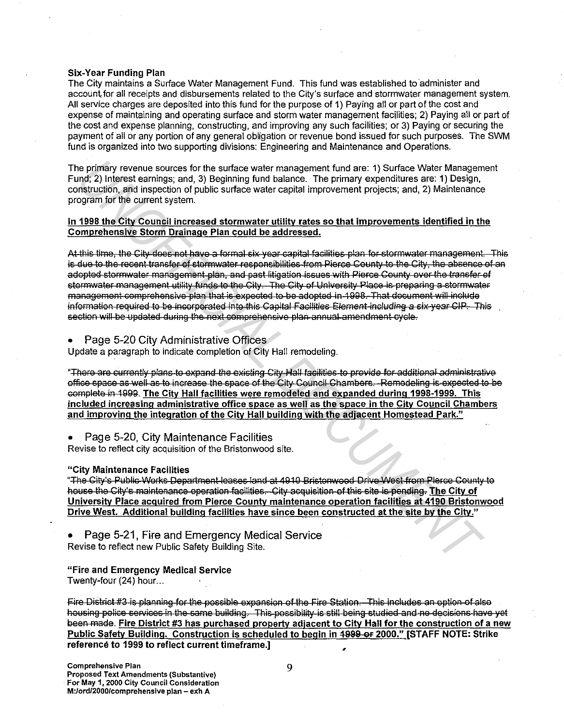#### **Six-Year Funding Plan**

The City maintains a Surface Water Management Fund. This fund was established to administer and account for all receipts and disbursements related to the City's surface and stormwater management system. All service charges are deposited into this fund for the purpose of 1) Paying all or part of the cost and expense of maintaining and operating surface and storm water management facilities; 2) Paying all or part of the cost and expense planning, constructing, and improving any such facilities; or 3) Paying or securing the payment of all or any portion of any general obligation or revenue bond issued for such purposes. The SWM fund is organized into two supporting divisions: Engineering and Maintenance and Operations.

The primary revenue sources for the surface water management fund are: 1) Surface Water Management Fund; 2) Interest earnings; and, 3) Beginning fund balance. The primary expenditures are: 1) Design, construction, and inspection of public surface water capital improvement projects; and, 2) Maintenance program for the current system.

#### In 1998 the City Council increased stormwater utility rates so that improvements identified in the Comprehensive Storm Drainage Plan could be addressed.

At this time, the City does not have a formal six year capital facilities plan for stormwater management. This is due to the recent transfer of stormwater responsibilities from Pierce County to the City, the absence of an adopted stormwater management plan, and past litigation issues with Pierce County over the transfer of stormwater management utility funds to the City. The City of University Place is preparing a stormwater management comprehensive plan that is expected to be adopted in 1998. That document will include information required to be incorporated into this Capital Facilities Element including a six-year CIP. This section will be updated during the next comprehensive plan annual amendment cycle.

Page 5-20 City Administrative Offices

Update a paragraph to indicate completion of City Hall remodeling.

"There are currently plans to expand the existing City Hall facilities to provide for additional administrative office space as well as to increase the space of the City Council Chambers. Remodeling is expected to be complete in 1999. The City Hall facilities were remodeled and expanded during 1998-1999. This included increasing administrative office space as well as the space in the City Council Chambers and improving the integration of the City Hall building with the adjacent Homestead Park."

Page 5-20, City Maintenance Facilities

Revise to reflect city acquisition of the Bristonwood site.

#### "City Maintenance Facilities

"The City's Public Works Department leases land at 4910 Bristonwood Drive West from Pierce County to house the City's maintenance operation facilities. City acquisition of this site is pending. The City of University Place acquired from Pierce County maintenance operation facilities at 4190 Bristonwood Drive West. Additional building facilities have since been constructed at the site by the City."

Page 5-21, Fire and Emergency Medical Service Revise to reflect new Public Safety Building Site.

#### "Fire and Emergency Medical Service

Twenty-four (24) hour...

Fire District #3 is planning for the possible expansion of the Fire Station. This includes an option of also housing police services in the same building. This possibility is still being studied and no decisions have yet been made. Fire District #3 has purchased property adjacent to City Hall for the construction of a new Public Safety Building. Construction is scheduled to begin in 4999 or 2000." [STAFF NOTE: Strike reference to 1999 to reflect current timeframe.]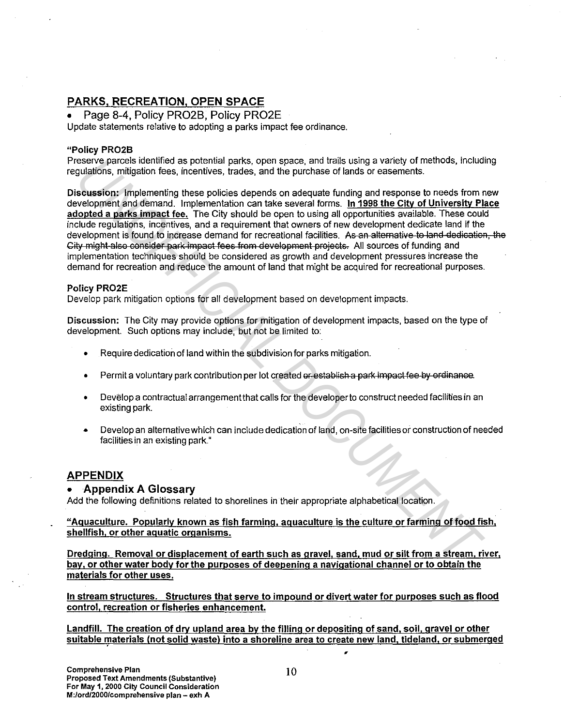#### PARKS, RECREATION, OPEN SPACE

• Page 8-4, Policy PR02B, Policy PR02E Update statements relative to adopting a parks impact fee ordinance.

#### "Policy PR02B

Preserve parcels identified as potential parks, open space, and trails using a variety of methods, including regulations, mitigation fees, incentives, trades, and the purchase of lands or easements.

Discussion: Implementing these policies depends on adequate funding and response to needs from new development and demand. Implementation can take several forms. In 1998 the City of University Place adopted a parks impact fee. The City should be open to using all opportunities available. These could include regulations, incentives, and a requirement that owners of new development dedicate land if the development is found to increase demand for recreational facilities. As an alternative to land dedication, the City might also consider park impact fees from development projects. All sources of funding and implementation techniques should be considered as growth and development pressures increase the demand for recreation and reduce the amount of land that might be acquired for recreational purposes. eseve parcels identified as potential parks, open space, and trais using a variety of methods<br>substitutes in militageon fees, including that purchase of lands or easernests.<br> **UNIOF INTERNATION INTERNATION CONTINUES ARENT** 

#### Policy PR02E

Develop park mitigation options for all development based on development impacts.

Discussion: The City may provide options for mitigation of development impacts, based on the type of development. Such options may include, but not be limited to:

- Require dedication of land within the subdivision for parks mitigation.
- Permit a voluntary park contribution per lot created or establish a park impact fee by ordinance.
- Develop a contractual arrangement that calls for the developer to construct needed facilities in an existing park.
- Develop an alternative which can include dedication of land, on-site facilities or construction of needed facilities in an existing park."

#### APPENDIX

#### • Appendix A Glossary

Add the following definitions related to shorelines in their appropriate alphabetical location.

"Aquaculture. Popularly known as fish farming, aquaculture is the culture or farming of food fish, shellfish, or other aquatic organisms.

Dredging. Removal or displacement of earth such as gravel. sand. mud or silt from a stream. river, bay, or other water body for the purposes of deepening a navigational channel or to obtain the materials for other uses.

In stream structures. Structures that serve to impound or divert water for purposes such as flood control, recreation or fisheries enhancement.

Landfill. The creation of dry upland area by the filling or depositing of sand, soil, gravel or other suitable materials (not solid waste) into a shoreline area to create new land, tideland, or submerged ,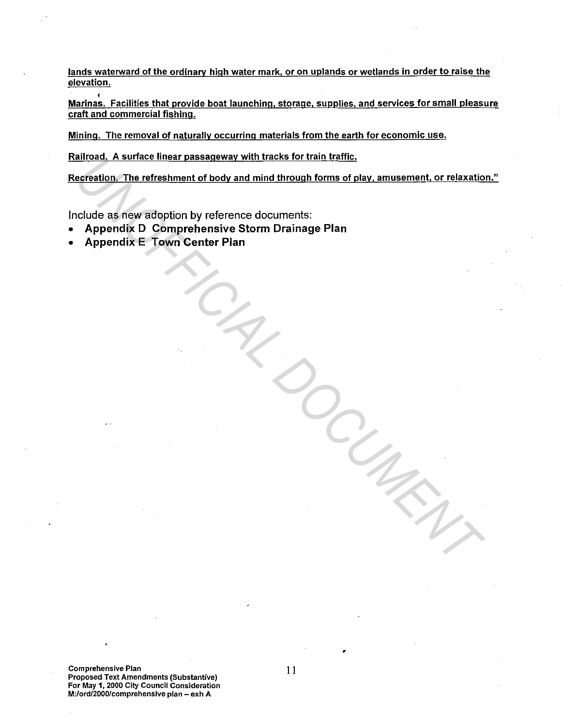lands waterward of the ordinary high water mark, or on uplands or wetlands in order to raise the elevation.

Marinas. Facilities that provide boat launching, storage, supplies, and services for small pleasure craft and commercial fishing.

Mining. The removal of naturally occurring materials from the earth for economic use.

Railroad. A surface linear passageway with tracks for train traffic.

Recreation. The refreshment of body and mind through forms of play, amusement, or relaxation." <u>Entract, A surface linear passageway wintridects for train define.</u><br>
Certaition. The refreshment of body and mind through forms of play, amusement, or relaxation.<br>
Chapendix D. Comprehensive Storm Drainage Plan<br>
Appendix

Include as new adoption by reference documents:

- Appendix D Comprehensive Storm Drainage Plan
- Appendix E Town Center Plan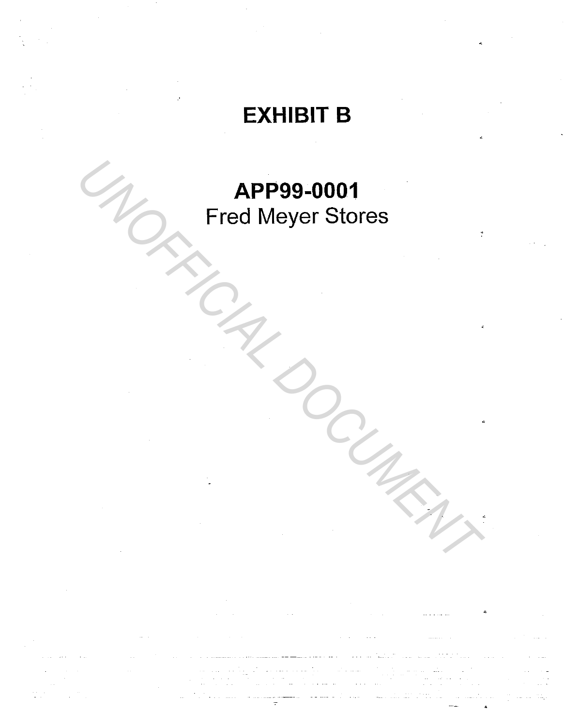# EXHIBIT B

# APP99-0001 Fred Meyer Stores **APP99-0001**<br>Fred Meyer Stores<br>All Control Document Production of the Magnetic Production of the Magnetic Production of the Magnetic Production of the Magnetic Production of the Magnetic Production of the Magnetic Producti

المعالجين المعالجين المعالجين.<br>المعالجين المعالجين المعالجين.

 $\mathbb{Z}^{\mathbb{Z}}$ 

---- ..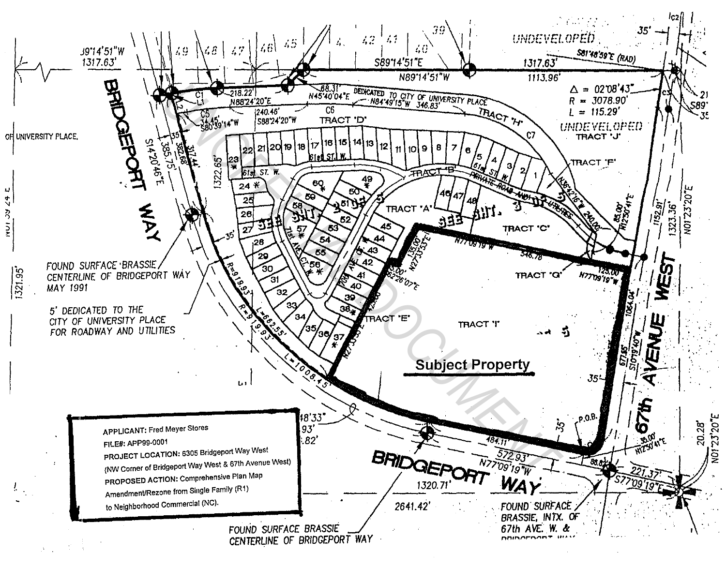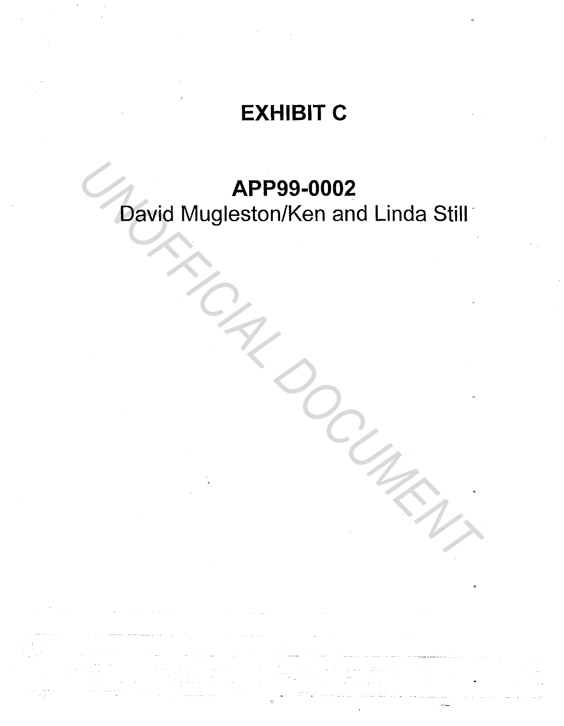# EXHIBIT C

# APP99-0002

David Mugleston/Ken and Linda Still **APP99-0002**<br>David Mugleston/Ken and Linda Still<br>A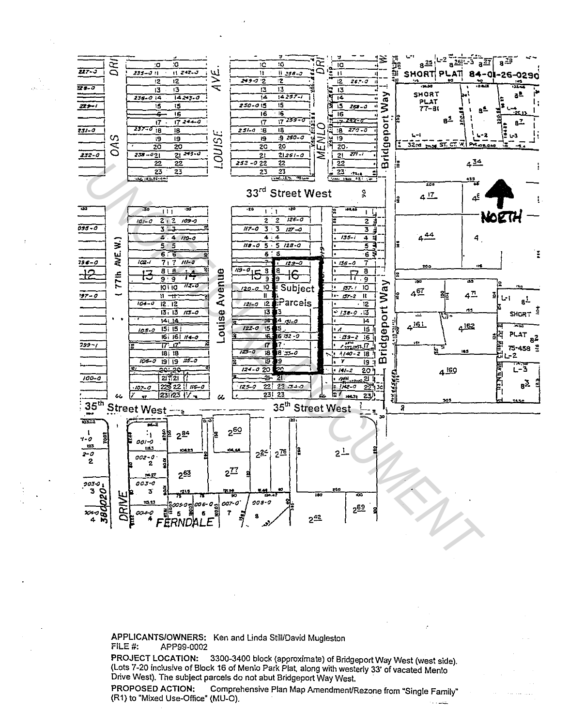

APPLICANTS/OWNERS: Ken and Linda Still/David Mugleston FILE #: APP99-0002

PROJECT LOCATION: 3300-3400 block (approximate) of Bridgeport Way West (west side). (Lots 7-20 inclusive of Block 16 of Menlo Park Plat, along with westerly 33' of vacated Menlo Drive West). The subject parcels do not abut Bridgeport Way West.

PROPOSED ACTION: Comprehensive Plan Map Amendment/Rezone from "Single Family" (R1) to "Mixed Use-Office" (MU-O).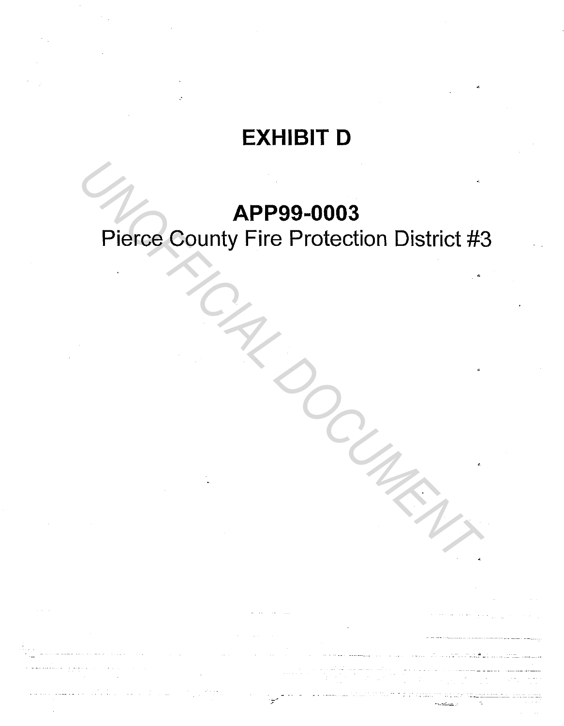# **EXHIBIT D**

## **APP99-0003**

# Pierce County Fire Protection District #3 **APP99-0003**<br>Pierce County Fire Protection District #2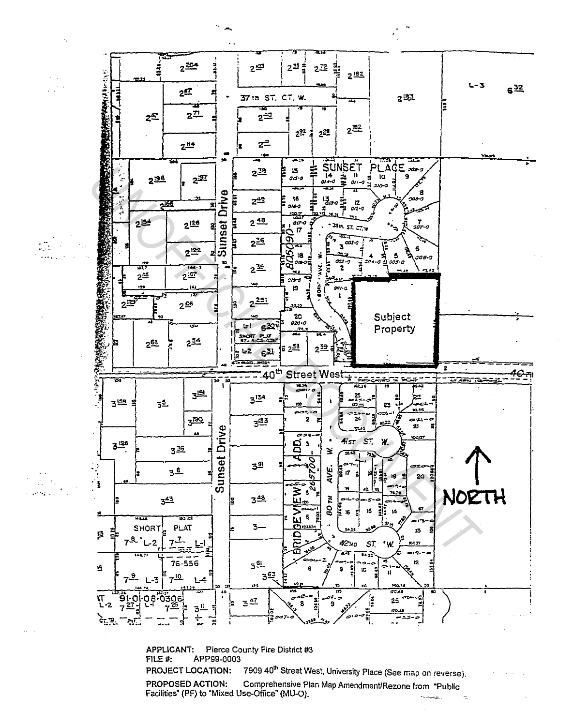

**APPLICANT:** Pierce County Fire District #3 FILE #: APP99-0003 7909 40<sup>th</sup> Street West, University Place (See map on reverse). **PROJECT LOCATION:** Comprehensive Plan Map Amendment/Rezone from "Public PROPOSED ACTION: Facilities" (PF) to "Mixed Use-Office" (MU-O).

 $\mathcal{F}^{\mathcal{A}}$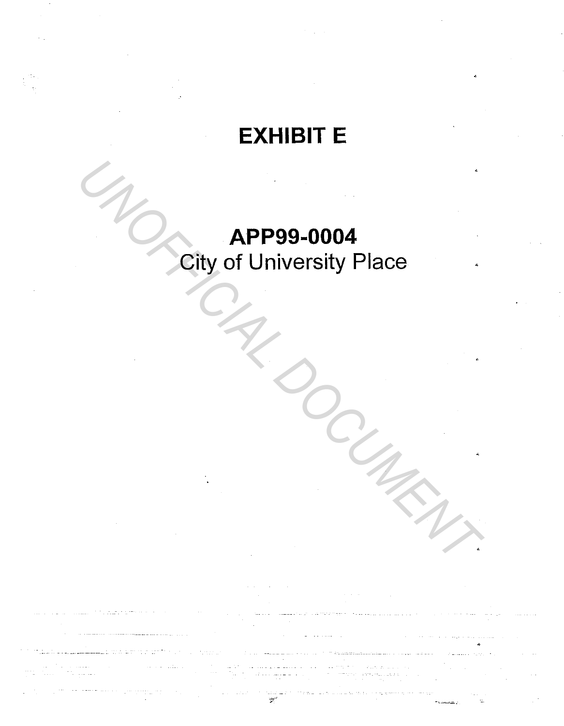# **EXHIBIT E**

# APP99-0004 **City of University Place**

e (n. 1772)<br>1970 - Anthoniec Colo